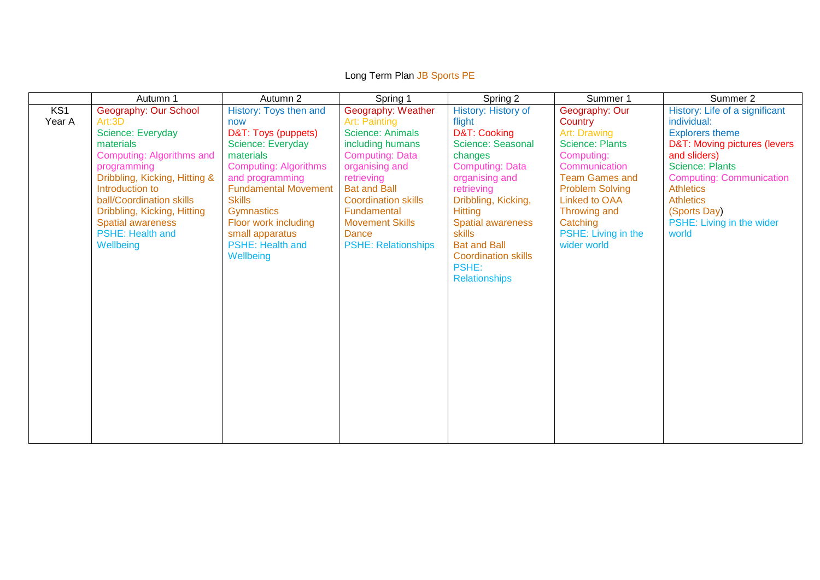|                           | Autumn 1                                                                                                                                                                                                                                                                                  | Autumn 2                                                                                                                                                                                                                                                                                          | Spring 1                                                                                                                                                                                                                                                                          | Spring 2                                                                                                                                                                                                                                                                                                     | Summer 1                                                                                                                                                                                                                                        | Summer 2                                                                                                                                                                                                                                                                           |
|---------------------------|-------------------------------------------------------------------------------------------------------------------------------------------------------------------------------------------------------------------------------------------------------------------------------------------|---------------------------------------------------------------------------------------------------------------------------------------------------------------------------------------------------------------------------------------------------------------------------------------------------|-----------------------------------------------------------------------------------------------------------------------------------------------------------------------------------------------------------------------------------------------------------------------------------|--------------------------------------------------------------------------------------------------------------------------------------------------------------------------------------------------------------------------------------------------------------------------------------------------------------|-------------------------------------------------------------------------------------------------------------------------------------------------------------------------------------------------------------------------------------------------|------------------------------------------------------------------------------------------------------------------------------------------------------------------------------------------------------------------------------------------------------------------------------------|
| KS <sub>1</sub><br>Year A | Geography: Our School<br>Art:3D<br>Science: Everyday<br>materials<br>Computing: Algorithms and<br>programming<br>Dribbling, Kicking, Hitting &<br>Introduction to<br>ball/Coordination skills<br>Dribbling, Kicking, Hitting<br><b>Spatial awareness</b><br>PSHE: Health and<br>Wellbeing | History: Toys then and<br>now<br>D&T: Toys (puppets)<br>Science: Everyday<br>materials<br><b>Computing: Algorithms</b><br>and programming<br><b>Fundamental Movement</b><br><b>Skills</b><br><b>Gymnastics</b><br>Floor work including<br>small apparatus<br><b>PSHE: Health and</b><br>Wellbeing | Geography: Weather<br>Art: Painting<br><b>Science: Animals</b><br>including humans<br><b>Computing: Data</b><br>organising and<br>retrieving<br><b>Bat and Ball</b><br><b>Coordination skills</b><br>Fundamental<br><b>Movement Skills</b><br>Dance<br><b>PSHE: Relationships</b> | History: History of<br>flight<br>D&T: Cooking<br>Science: Seasonal<br>changes<br><b>Computing: Data</b><br>organising and<br>retrieving<br>Dribbling, Kicking,<br><b>Hitting</b><br><b>Spatial awareness</b><br>skills<br><b>Bat and Ball</b><br><b>Coordination skills</b><br>PSHE:<br><b>Relationships</b> | Geography: Our<br>Country<br>Art: Drawing<br><b>Science: Plants</b><br>Computing:<br>Communication<br><b>Team Games and</b><br><b>Problem Solving</b><br><b>Linked to OAA</b><br>Throwing and<br>Catching<br>PSHE: Living in the<br>wider world | History: Life of a significant<br>individual:<br><b>Explorers theme</b><br>D&T: Moving pictures (levers<br>and sliders)<br><b>Science: Plants</b><br><b>Computing: Communication</b><br><b>Athletics</b><br><b>Athletics</b><br>(Sports Day)<br>PSHE: Living in the wider<br>world |

## Long Term Plan JB Sports PE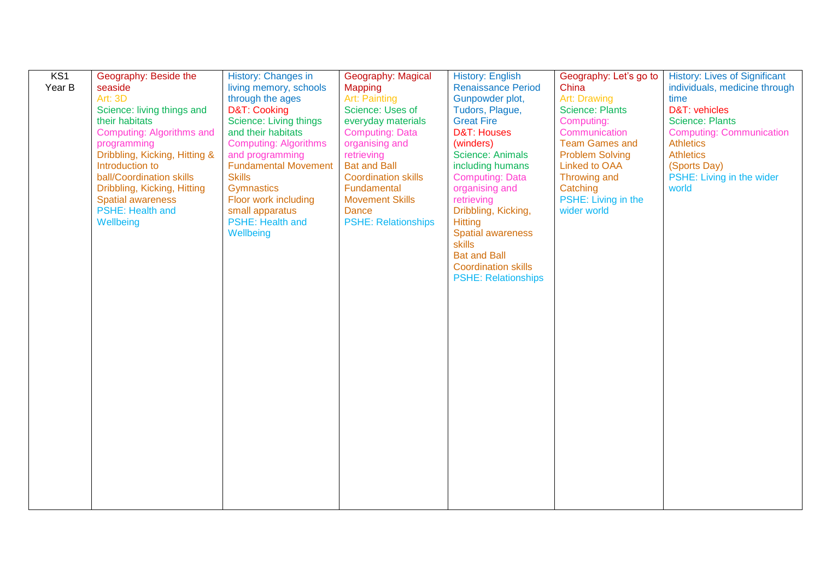| KS <sub>1</sub> | Geography: Beside the         | History: Changes in          | Geography: Magical         | <b>History: English</b>    | Geography: Let's go to | <b>History: Lives of Significant</b> |
|-----------------|-------------------------------|------------------------------|----------------------------|----------------------------|------------------------|--------------------------------------|
| Year B          | seaside                       | living memory, schools       | <b>Mapping</b>             | <b>Renaissance Period</b>  | China                  | individuals, medicine through        |
|                 | <b>Art: 3D</b>                | through the ages             | <b>Art: Painting</b>       | Gunpowder plot,            | <b>Art: Drawing</b>    | time                                 |
|                 | Science: living things and    | D&T: Cooking                 | Science: Uses of           | Tudors, Plague,            | <b>Science: Plants</b> | D&T: vehicles                        |
|                 | their habitats                | Science: Living things       | everyday materials         | <b>Great Fire</b>          | Computing:             | <b>Science: Plants</b>               |
|                 | Computing: Algorithms and     | and their habitats           | <b>Computing: Data</b>     | <b>D&amp;T: Houses</b>     | Communication          | <b>Computing: Communication</b>      |
|                 | programming                   | <b>Computing: Algorithms</b> | organising and             | (winders)                  | <b>Team Games and</b>  | <b>Athletics</b>                     |
|                 | Dribbling, Kicking, Hitting & | and programming              | retrieving                 | <b>Science: Animals</b>    | <b>Problem Solving</b> | <b>Athletics</b>                     |
|                 | Introduction to               | <b>Fundamental Movement</b>  | <b>Bat and Ball</b>        | including humans           | <b>Linked to OAA</b>   | (Sports Day)                         |
|                 | ball/Coordination skills      | <b>Skills</b>                | <b>Coordination skills</b> | <b>Computing: Data</b>     | Throwing and           | PSHE: Living in the wider            |
|                 | Dribbling, Kicking, Hitting   | Gymnastics                   | Fundamental                | organising and             | Catching               | world                                |
|                 | <b>Spatial awareness</b>      | Floor work including         | <b>Movement Skills</b>     | retrieving                 | PSHE: Living in the    |                                      |
|                 | <b>PSHE: Health and</b>       | small apparatus              | <b>Dance</b>               | Dribbling, Kicking,        | wider world            |                                      |
|                 | Wellbeing                     | <b>PSHE: Health and</b>      | <b>PSHE: Relationships</b> | <b>Hitting</b>             |                        |                                      |
|                 |                               | Wellbeing                    |                            | <b>Spatial awareness</b>   |                        |                                      |
|                 |                               |                              |                            | <b>skills</b>              |                        |                                      |
|                 |                               |                              |                            | <b>Bat and Ball</b>        |                        |                                      |
|                 |                               |                              |                            | <b>Coordination skills</b> |                        |                                      |
|                 |                               |                              |                            | <b>PSHE: Relationships</b> |                        |                                      |
|                 |                               |                              |                            |                            |                        |                                      |
|                 |                               |                              |                            |                            |                        |                                      |
|                 |                               |                              |                            |                            |                        |                                      |
|                 |                               |                              |                            |                            |                        |                                      |
|                 |                               |                              |                            |                            |                        |                                      |
|                 |                               |                              |                            |                            |                        |                                      |
|                 |                               |                              |                            |                            |                        |                                      |
|                 |                               |                              |                            |                            |                        |                                      |
|                 |                               |                              |                            |                            |                        |                                      |
|                 |                               |                              |                            |                            |                        |                                      |
|                 |                               |                              |                            |                            |                        |                                      |
|                 |                               |                              |                            |                            |                        |                                      |
|                 |                               |                              |                            |                            |                        |                                      |
|                 |                               |                              |                            |                            |                        |                                      |
|                 |                               |                              |                            |                            |                        |                                      |
|                 |                               |                              |                            |                            |                        |                                      |
|                 |                               |                              |                            |                            |                        |                                      |
|                 |                               |                              |                            |                            |                        |                                      |
|                 |                               |                              |                            |                            |                        |                                      |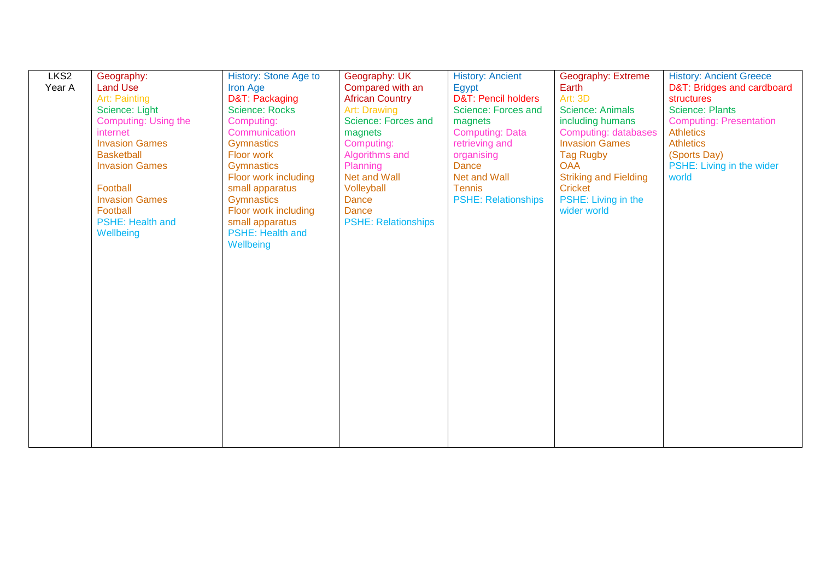| LKS <sub>2</sub> | Geography:                  | History: Stone Age to   | Geography: UK              | <b>History: Ancient</b>        | Geography: Extreme           | <b>History: Ancient Greece</b> |
|------------------|-----------------------------|-------------------------|----------------------------|--------------------------------|------------------------------|--------------------------------|
| Year A           | <b>Land Use</b>             | <b>Iron Age</b>         | Compared with an           | Egypt                          | Earth                        | D&T: Bridges and cardboard     |
|                  | Art: Painting               | D&T: Packaging          | <b>African Country</b>     | <b>D&amp;T: Pencil holders</b> | Art: 3D                      | structures                     |
|                  | Science: Light              | <b>Science: Rocks</b>   | <b>Art: Drawing</b>        | Science: Forces and            | <b>Science: Animals</b>      | <b>Science: Plants</b>         |
|                  | <b>Computing: Using the</b> | Computing:              | Science: Forces and        | magnets                        | including humans             | <b>Computing: Presentation</b> |
|                  | internet                    | Communication           | magnets                    | <b>Computing: Data</b>         | <b>Computing: databases</b>  | <b>Athletics</b>               |
|                  | <b>Invasion Games</b>       | <b>Gymnastics</b>       | Computing:                 | retrieving and                 | <b>Invasion Games</b>        | <b>Athletics</b>               |
|                  | <b>Basketball</b>           | Floor work              | Algorithms and             | organising                     | <b>Tag Rugby</b>             | (Sports Day)                   |
|                  | <b>Invasion Games</b>       | <b>Gymnastics</b>       | Planning                   | Dance                          | <b>OAA</b>                   | PSHE: Living in the wider      |
|                  |                             | Floor work including    | <b>Net and Wall</b>        | Net and Wall                   | <b>Striking and Fielding</b> | world                          |
|                  | Football                    | small apparatus         | Volleyball                 | <b>Tennis</b>                  | <b>Cricket</b>               |                                |
|                  | <b>Invasion Games</b>       | <b>Gymnastics</b>       | <b>Dance</b>               | <b>PSHE: Relationships</b>     | PSHE: Living in the          |                                |
|                  | Football                    | Floor work including    | Dance                      |                                | wider world                  |                                |
|                  | <b>PSHE: Health and</b>     | small apparatus         | <b>PSHE: Relationships</b> |                                |                              |                                |
|                  | Wellbeing                   | <b>PSHE: Health and</b> |                            |                                |                              |                                |
|                  |                             | Wellbeing               |                            |                                |                              |                                |
|                  |                             |                         |                            |                                |                              |                                |
|                  |                             |                         |                            |                                |                              |                                |
|                  |                             |                         |                            |                                |                              |                                |
|                  |                             |                         |                            |                                |                              |                                |
|                  |                             |                         |                            |                                |                              |                                |
|                  |                             |                         |                            |                                |                              |                                |
|                  |                             |                         |                            |                                |                              |                                |
|                  |                             |                         |                            |                                |                              |                                |
|                  |                             |                         |                            |                                |                              |                                |
|                  |                             |                         |                            |                                |                              |                                |
|                  |                             |                         |                            |                                |                              |                                |
|                  |                             |                         |                            |                                |                              |                                |
|                  |                             |                         |                            |                                |                              |                                |
|                  |                             |                         |                            |                                |                              |                                |
|                  |                             |                         |                            |                                |                              |                                |
|                  |                             |                         |                            |                                |                              |                                |
|                  |                             |                         |                            |                                |                              |                                |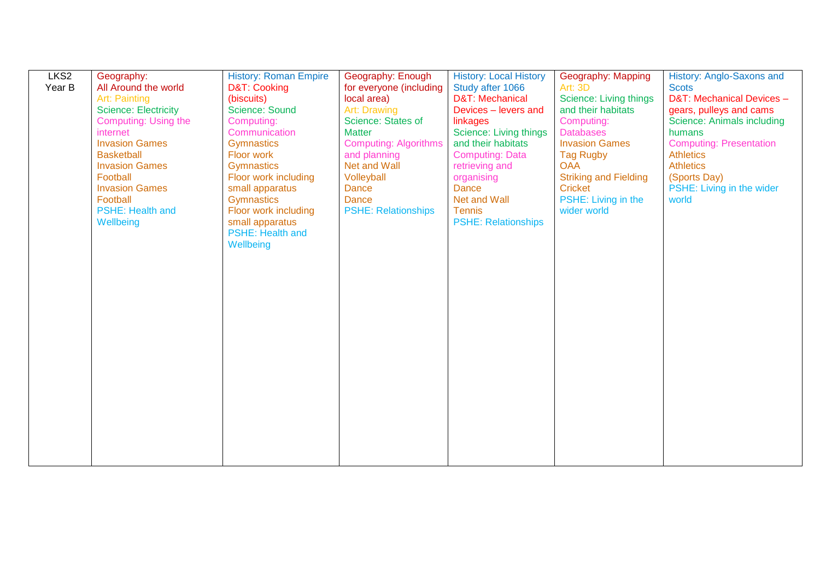| LKS <sub>2</sub> | Geography:                  | <b>History: Roman Empire</b> | Geography: Enough            | <b>History: Local History</b> | Geography: Mapping           | History: Anglo-Saxons and      |
|------------------|-----------------------------|------------------------------|------------------------------|-------------------------------|------------------------------|--------------------------------|
| Year B           | All Around the world        | D&T: Cooking                 | for everyone (including      | Study after 1066              | Art: 3D                      | <b>Scots</b>                   |
|                  | <b>Art: Painting</b>        | (biscuits)                   | local area)                  | D&T: Mechanical               | Science: Living things       | D&T: Mechanical Devices -      |
|                  | <b>Science: Electricity</b> | Science: Sound               | Art: Drawing                 | Devices - levers and          | and their habitats           | gears, pulleys and cams        |
|                  | <b>Computing: Using the</b> | Computing:                   | Science: States of           | linkages                      | Computing:                   | Science: Animals including     |
|                  | internet                    | Communication                | <b>Matter</b>                | <b>Science: Living things</b> | <b>Databases</b>             | humans                         |
|                  | <b>Invasion Games</b>       | Gymnastics                   | <b>Computing: Algorithms</b> | and their habitats            | <b>Invasion Games</b>        | <b>Computing: Presentation</b> |
|                  | <b>Basketball</b>           | Floor work                   | and planning                 | <b>Computing: Data</b>        | <b>Tag Rugby</b>             | <b>Athletics</b>               |
|                  | <b>Invasion Games</b>       | <b>Gymnastics</b>            | <b>Net and Wall</b>          | retrieving and                | <b>OAA</b>                   | <b>Athletics</b>               |
|                  | Football                    | Floor work including         | Volleyball                   | organising                    | <b>Striking and Fielding</b> | (Sports Day)                   |
|                  | <b>Invasion Games</b>       | small apparatus              | <b>Dance</b>                 | <b>Dance</b>                  | <b>Cricket</b>               | PSHE: Living in the wider      |
|                  | Football                    | Gymnastics                   | <b>Dance</b>                 | Net and Wall                  | PSHE: Living in the          | world                          |
|                  | <b>PSHE: Health and</b>     | Floor work including         | <b>PSHE: Relationships</b>   | <b>Tennis</b>                 | wider world                  |                                |
|                  | Wellbeing                   | small apparatus              |                              | <b>PSHE: Relationships</b>    |                              |                                |
|                  |                             | <b>PSHE: Health and</b>      |                              |                               |                              |                                |
|                  |                             | Wellbeing                    |                              |                               |                              |                                |
|                  |                             |                              |                              |                               |                              |                                |
|                  |                             |                              |                              |                               |                              |                                |
|                  |                             |                              |                              |                               |                              |                                |
|                  |                             |                              |                              |                               |                              |                                |
|                  |                             |                              |                              |                               |                              |                                |
|                  |                             |                              |                              |                               |                              |                                |
|                  |                             |                              |                              |                               |                              |                                |
|                  |                             |                              |                              |                               |                              |                                |
|                  |                             |                              |                              |                               |                              |                                |
|                  |                             |                              |                              |                               |                              |                                |
|                  |                             |                              |                              |                               |                              |                                |
|                  |                             |                              |                              |                               |                              |                                |
|                  |                             |                              |                              |                               |                              |                                |
|                  |                             |                              |                              |                               |                              |                                |
|                  |                             |                              |                              |                               |                              |                                |
|                  |                             |                              |                              |                               |                              |                                |
|                  |                             |                              |                              |                               |                              |                                |
|                  |                             |                              |                              |                               |                              |                                |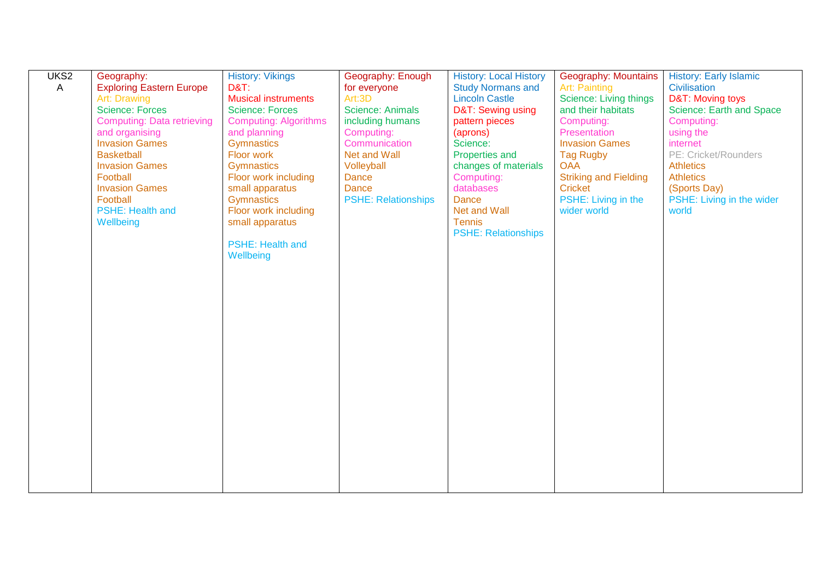| UKS <sub>2</sub> | Geography:                        | <b>History: Vikings</b>      | Geography: Enough          | <b>History: Local History</b> | Geography: Mountains         | <b>History: Early Islamic</b> |
|------------------|-----------------------------------|------------------------------|----------------------------|-------------------------------|------------------------------|-------------------------------|
| A                | <b>Exploring Eastern Europe</b>   | <b>D&amp;T:</b>              | for everyone               | <b>Study Normans and</b>      | <b>Art: Painting</b>         | Civilisation                  |
|                  | Art: Drawing                      | <b>Musical instruments</b>   | Art:3D                     | <b>Lincoln Castle</b>         | Science: Living things       | D&T: Moving toys              |
|                  | <b>Science: Forces</b>            | <b>Science: Forces</b>       | <b>Science: Animals</b>    | D&T: Sewing using             | and their habitats           | Science: Earth and Space      |
|                  | <b>Computing: Data retrieving</b> | <b>Computing: Algorithms</b> | including humans           | pattern pieces                | Computing:                   | Computing:                    |
|                  | and organising                    | and planning                 | Computing:                 | (aprons)                      | Presentation                 | using the                     |
|                  | <b>Invasion Games</b>             | <b>Gymnastics</b>            | Communication              | Science:                      | <b>Invasion Games</b>        | internet                      |
|                  | <b>Basketball</b>                 | Floor work                   | <b>Net and Wall</b>        | Properties and                | <b>Tag Rugby</b>             | PE: Cricket/Rounders          |
|                  | <b>Invasion Games</b>             | <b>Gymnastics</b>            | Volleyball                 | changes of materials          | <b>OAA</b>                   | <b>Athletics</b>              |
|                  | Football                          | Floor work including         | <b>Dance</b>               | Computing:                    | <b>Striking and Fielding</b> | <b>Athletics</b>              |
|                  | <b>Invasion Games</b>             | small apparatus              | <b>Dance</b>               | databases                     | <b>Cricket</b>               | (Sports Day)                  |
|                  | Football                          | Gymnastics                   | <b>PSHE: Relationships</b> | <b>Dance</b>                  | PSHE: Living in the          | PSHE: Living in the wider     |
|                  | PSHE: Health and                  | Floor work including         |                            | Net and Wall                  | wider world                  | world                         |
|                  | Wellbeing                         | small apparatus              |                            | <b>Tennis</b>                 |                              |                               |
|                  |                                   | <b>PSHE: Health and</b>      |                            | <b>PSHE: Relationships</b>    |                              |                               |
|                  |                                   | Wellbeing                    |                            |                               |                              |                               |
|                  |                                   |                              |                            |                               |                              |                               |
|                  |                                   |                              |                            |                               |                              |                               |
|                  |                                   |                              |                            |                               |                              |                               |
|                  |                                   |                              |                            |                               |                              |                               |
|                  |                                   |                              |                            |                               |                              |                               |
|                  |                                   |                              |                            |                               |                              |                               |
|                  |                                   |                              |                            |                               |                              |                               |
|                  |                                   |                              |                            |                               |                              |                               |
|                  |                                   |                              |                            |                               |                              |                               |
|                  |                                   |                              |                            |                               |                              |                               |
|                  |                                   |                              |                            |                               |                              |                               |
|                  |                                   |                              |                            |                               |                              |                               |
|                  |                                   |                              |                            |                               |                              |                               |
|                  |                                   |                              |                            |                               |                              |                               |
|                  |                                   |                              |                            |                               |                              |                               |
|                  |                                   |                              |                            |                               |                              |                               |
|                  |                                   |                              |                            |                               |                              |                               |
|                  |                                   |                              |                            |                               |                              |                               |
|                  |                                   |                              |                            |                               |                              |                               |
|                  |                                   |                              |                            |                               |                              |                               |